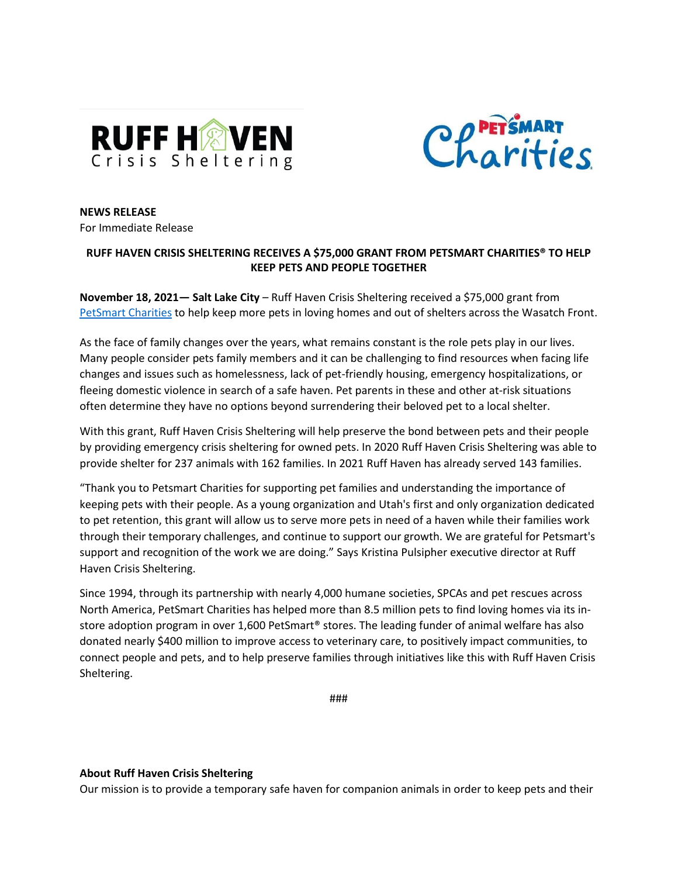



**NEWS RELEASE** For Immediate Release

## **RUFF HAVEN CRISIS SHELTERING RECEIVES A \$75,000 GRANT FROM PETSMART CHARITIES® TO HELP KEEP PETS AND PEOPLE TOGETHER**

**November 18, 2021— Salt Lake City** – Ruff Haven Crisis Sheltering received a \$75,000 grant from [PetSmart Charities](https://petsmartcharities.org/) to help keep more pets in loving homes and out of shelters across the Wasatch Front.

As the face of family changes over the years, what remains constant is the role pets play in our lives. Many people consider pets family members and it can be challenging to find resources when facing life changes and issues such as homelessness, lack of pet-friendly housing, emergency hospitalizations, or fleeing domestic violence in search of a safe haven. Pet parents in these and other at-risk situations often determine they have no options beyond surrendering their beloved pet to a local shelter.

With this grant, Ruff Haven Crisis Sheltering will help preserve the bond between pets and their people by providing emergency crisis sheltering for owned pets. In 2020 Ruff Haven Crisis Sheltering was able to provide shelter for 237 animals with 162 families. In 2021 Ruff Haven has already served 143 families.

"Thank you to Petsmart Charities for supporting pet families and understanding the importance of keeping pets with their people. As a young organization and Utah's first and only organization dedicated to pet retention, this grant will allow us to serve more pets in need of a haven while their families work through their temporary challenges, and continue to support our growth. We are grateful for Petsmart's support and recognition of the work we are doing." Says Kristina Pulsipher executive director at Ruff Haven Crisis Sheltering.

Since 1994, through its partnership with nearly 4,000 humane societies, SPCAs and pet rescues across North America, PetSmart Charities has helped more than 8.5 million pets to find loving homes via its instore adoption program in over 1,600 PetSmart® stores. The leading funder of animal welfare has also donated nearly \$400 million to improve access to veterinary care, to positively impact communities, to connect people and pets, and to help preserve families through initiatives like this with Ruff Haven Crisis Sheltering.

###

## **About Ruff Haven Crisis Sheltering**

Our mission is to provide a temporary safe haven for companion animals in order to keep pets and their